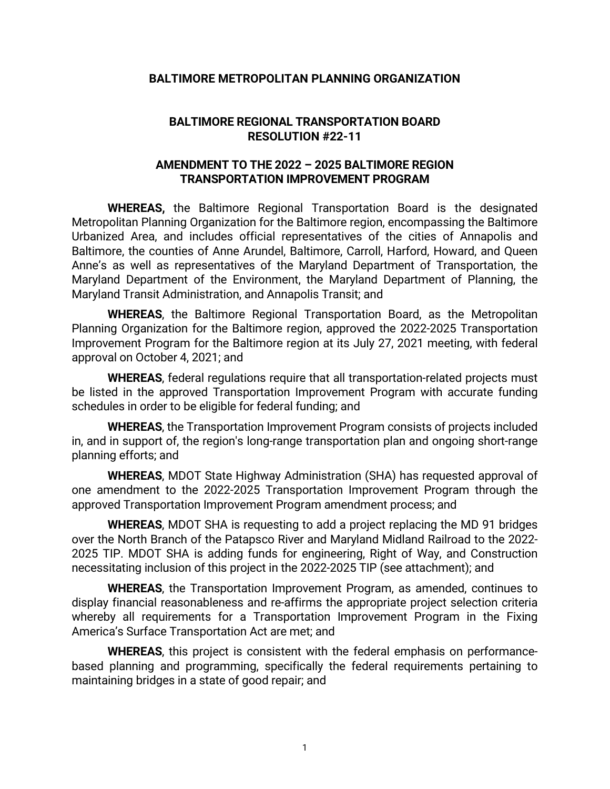## **BALTIMORE METROPOLITAN PLANNING ORGANIZATION**

## **BALTIMORE REGIONAL TRANSPORTATION BOARD RESOLUTION #22-11**

## **AMENDMENT TO THE 2022 – 2025 BALTIMORE REGION TRANSPORTATION IMPROVEMENT PROGRAM**

**WHEREAS,** the Baltimore Regional Transportation Board is the designated Metropolitan Planning Organization for the Baltimore region, encompassing the Baltimore Urbanized Area, and includes official representatives of the cities of Annapolis and Baltimore, the counties of Anne Arundel, Baltimore, Carroll, Harford, Howard, and Queen Anne's as well as representatives of the Maryland Department of Transportation, the Maryland Department of the Environment, the Maryland Department of Planning, the Maryland Transit Administration, and Annapolis Transit; and

**WHEREAS**, the Baltimore Regional Transportation Board, as the Metropolitan Planning Organization for the Baltimore region, approved the 2022-2025 Transportation Improvement Program for the Baltimore region at its July 27, 2021 meeting, with federal approval on October 4, 2021; and

**WHEREAS**, federal regulations require that all transportation-related projects must be listed in the approved Transportation Improvement Program with accurate funding schedules in order to be eligible for federal funding; and

**WHEREAS**, the Transportation Improvement Program consists of projects included in, and in support of, the region's long-range transportation plan and ongoing short-range planning efforts; and

**WHEREAS**, MDOT State Highway Administration (SHA) has requested approval of one amendment to the 2022-2025 Transportation Improvement Program through the approved Transportation Improvement Program amendment process; and

**WHEREAS**, MDOT SHA is requesting to add a project replacing the MD 91 bridges over the North Branch of the Patapsco River and Maryland Midland Railroad to the 2022- 2025 TIP. MDOT SHA is adding funds for engineering, Right of Way, and Construction necessitating inclusion of this project in the 2022-2025 TIP (see attachment); and

**WHEREAS**, the Transportation Improvement Program, as amended, continues to display financial reasonableness and re-affirms the appropriate project selection criteria whereby all requirements for a Transportation Improvement Program in the Fixing America's Surface Transportation Act are met; and

**WHEREAS**, this project is consistent with the federal emphasis on performancebased planning and programming, specifically the federal requirements pertaining to maintaining bridges in a state of good repair; and